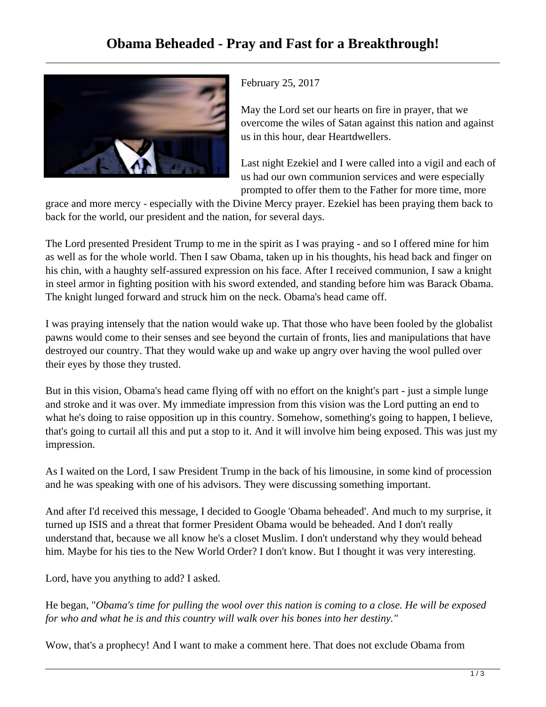

February 25, 2017

May the Lord set our hearts on fire in prayer, that we overcome the wiles of Satan against this nation and against us in this hour, dear Heartdwellers.

Last night Ezekiel and I were called into a vigil and each of us had our own communion services and were especially prompted to offer them to the Father for more time, more

grace and more mercy - especially with the Divine Mercy prayer. Ezekiel has been praying them back to back for the world, our president and the nation, for several days.

The Lord presented President Trump to me in the spirit as I was praying - and so I offered mine for him as well as for the whole world. Then I saw Obama, taken up in his thoughts, his head back and finger on his chin, with a haughty self-assured expression on his face. After I received communion, I saw a knight in steel armor in fighting position with his sword extended, and standing before him was Barack Obama. The knight lunged forward and struck him on the neck. Obama's head came off.

I was praying intensely that the nation would wake up. That those who have been fooled by the globalist pawns would come to their senses and see beyond the curtain of fronts, lies and manipulations that have destroyed our country. That they would wake up and wake up angry over having the wool pulled over their eyes by those they trusted.

But in this vision, Obama's head came flying off with no effort on the knight's part - just a simple lunge and stroke and it was over. My immediate impression from this vision was the Lord putting an end to what he's doing to raise opposition up in this country. Somehow, something's going to happen, I believe, that's going to curtail all this and put a stop to it. And it will involve him being exposed. This was just my impression.

As I waited on the Lord, I saw President Trump in the back of his limousine, in some kind of procession and he was speaking with one of his advisors. They were discussing something important.

And after I'd received this message, I decided to Google 'Obama beheaded'. And much to my surprise, it turned up ISIS and a threat that former President Obama would be beheaded. And I don't really understand that, because we all know he's a closet Muslim. I don't understand why they would behead him. Maybe for his ties to the New World Order? I don't know. But I thought it was very interesting.

Lord, have you anything to add? I asked.

He began, "*Obama's time for pulling the wool over this nation is coming to a close. He will be exposed for who and what he is and this country will walk over his bones into her destiny."* 

Wow, that's a prophecy! And I want to make a comment here. That does not exclude Obama from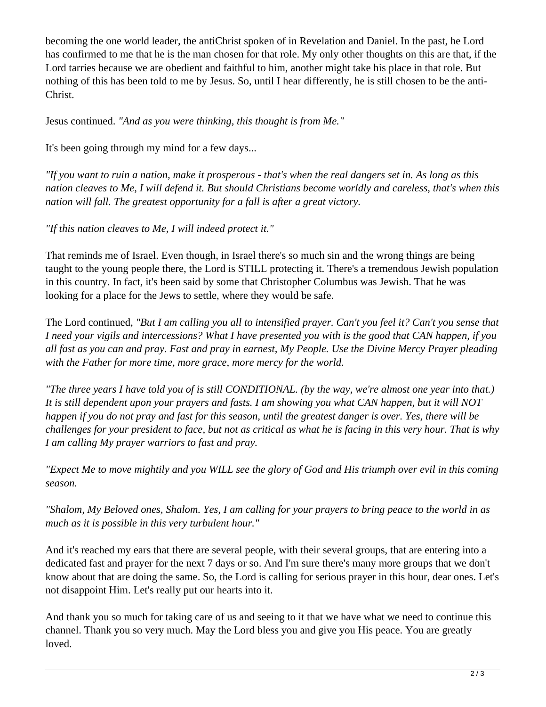becoming the one world leader, the antiChrist spoken of in Revelation and Daniel. In the past, he Lord has confirmed to me that he is the man chosen for that role. My only other thoughts on this are that, if the Lord tarries because we are obedient and faithful to him, another might take his place in that role. But nothing of this has been told to me by Jesus. So, until I hear differently, he is still chosen to be the anti-Christ.

Jesus continued. *"And as you were thinking, this thought is from Me."*

It's been going through my mind for a few days...

*"If you want to ruin a nation, make it prosperous - that's when the real dangers set in. As long as this nation cleaves to Me, I will defend it. But should Christians become worldly and careless, that's when this nation will fall. The greatest opportunity for a fall is after a great victory.*

*"If this nation cleaves to Me, I will indeed protect it."*

That reminds me of Israel. Even though, in Israel there's so much sin and the wrong things are being taught to the young people there, the Lord is STILL protecting it. There's a tremendous Jewish population in this country. In fact, it's been said by some that Christopher Columbus was Jewish. That he was looking for a place for the Jews to settle, where they would be safe.

The Lord continued, *"But I am calling you all to intensified prayer. Can't you feel it? Can't you sense that I need your vigils and intercessions? What I have presented you with is the good that CAN happen, if you all fast as you can and pray. Fast and pray in earnest, My People. Use the Divine Mercy Prayer pleading with the Father for more time, more grace, more mercy for the world.*

*"The three years I have told you of is still CONDITIONAL. (by the way, we're almost one year into that.) It is still dependent upon your prayers and fasts. I am showing you what CAN happen, but it will NOT happen if you do not pray and fast for this season, until the greatest danger is over. Yes, there will be challenges for your president to face, but not as critical as what he is facing in this very hour. That is why I am calling My prayer warriors to fast and pray.* 

*"Expect Me to move mightily and you WILL see the glory of God and His triumph over evil in this coming season.* 

*"Shalom, My Beloved ones, Shalom. Yes, I am calling for your prayers to bring peace to the world in as much as it is possible in this very turbulent hour."*

And it's reached my ears that there are several people, with their several groups, that are entering into a dedicated fast and prayer for the next 7 days or so. And I'm sure there's many more groups that we don't know about that are doing the same. So, the Lord is calling for serious prayer in this hour, dear ones. Let's not disappoint Him. Let's really put our hearts into it.

And thank you so much for taking care of us and seeing to it that we have what we need to continue this channel. Thank you so very much. May the Lord bless you and give you His peace. You are greatly loved.